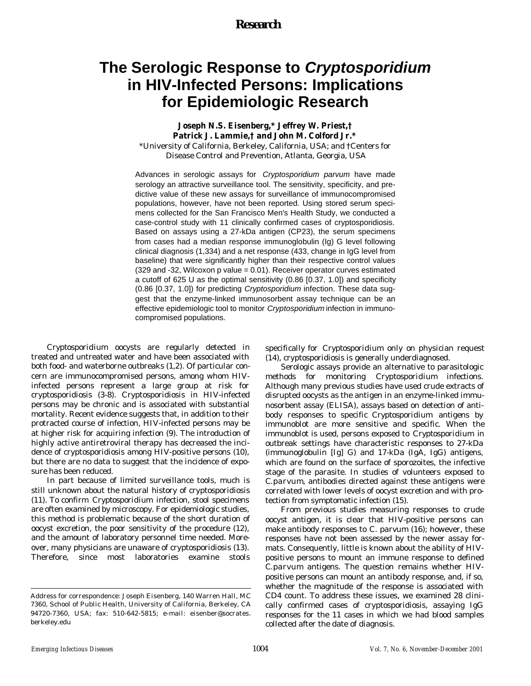## *Research*

# **The Serologic Response to** *Cryptosporidium* **in HIV-Infected Persons: Implications for Epidemiologic Research**

### **Joseph N.S. Eisenberg,\* Jeffrey W. Priest,† Patrick J. Lammie,† and John M. Colford Jr.\***

\*University of California, Berkeley, California, USA; and †Centers for Disease Control and Prevention, Atlanta, Georgia, USA

Advances in serologic assays for *Cryptosporidium parvum* have made serology an attractive surveillance tool. The sensitivity, specificity, and predictive value of these new assays for surveillance of immunocompromised populations, however, have not been reported. Using stored serum specimens collected for the San Francisco Men's Health Study, we conducted a case-control study with 11 clinically confirmed cases of cryptosporidiosis. Based on assays using a 27-kDa antigen (CP23), the serum specimens from cases had a median response immunoglobulin (Ig) G level following clinical diagnosis (1,334) and a net response (433, change in IgG level from baseline) that were significantly higher than their respective control values (329 and -32, Wilcoxon p value = 0.01). Receiver operator curves estimated a cutoff of 625 U as the optimal sensitivity (0.86 [0.37, 1.0]) and specificity (0.86 [0.37, 1.0]) for predicting *Cryptosporidium* infection. These data suggest that the enzyme-linked immunosorbent assay technique can be an effective epidemiologic tool to monitor *Cryptosporidium* infection in immunocompromised populations.

*Cryptosporidium* oocysts are regularly detected in treated and untreated water and have been associated with both food- and waterborne outbreaks (1,2). Of particular concern are immunocompromised persons, among whom HIVinfected persons represent a large group at risk for cryptosporidiosis (3-8). Cryptosporidiosis in HIV-infected persons may be chronic and is associated with substantial mortality. Recent evidence suggests that, in addition to their protracted course of infection, HIV-infected persons may be at higher risk for acquiring infection (9). The introduction of highly active antiretroviral therapy has decreased the incidence of cryptosporidiosis among HIV-positive persons (10), but there are no data to suggest that the incidence of exposure has been reduced.

In part because of limited surveillance tools, much is still unknown about the natural history of cryptosporidiosis (11). To confirm *Cryptosporidium* infection, stool specimens are often examined by microscopy. For epidemiologic studies, this method is problematic because of the short duration of oocyst excretion, the poor sensitivity of the procedure (12), and the amount of laboratory personnel time needed. Moreover, many physicians are unaware of cryptosporidiosis (13). Therefore, since most laboratories examine stools specifically for *Cryptosporidium* only on physician request (14), cryptosporidiosis is generally underdiagnosed.

Serologic assays provide an alternative to parasitologic methods for monitoring *Cryptosporidium* infections. Although many previous studies have used crude extracts of disrupted oocysts as the antigen in an enzyme-linked immunosorbent assay (ELISA), assays based on detection of antibody responses to specific *Cryptosporidium* antigens by immunoblot are more sensitive and specific. When the immunoblot is used, persons exposed to *Cryptosporidium* in outbreak settings have characteristic responses to 27-kDa (immunoglobulin [Ig] G) and 17-kDa (IgA, IgG) antigens, which are found on the surface of sporozoites, the infective stage of the parasite. In studies of volunteers exposed to *C.parvum*, antibodies directed against these antigens were correlated with lower levels of oocyst excretion and with protection from symptomatic infection (15).

From previous studies measuring responses to crude oocyst antigen, it is clear that HIV-positive persons can make antibody responses to *C. parvum* (16); however, these responses have not been assessed by the newer assay formats. Consequently, little is known about the ability of HIVpositive persons to mount an immune response to defined *C.parvum* antigens. The question remains whether HIVpositive persons can mount an antibody response, and, if so, whether the magnitude of the response is associated with CD4 count. To address these issues, we examined 28 clinically confirmed cases of cryptosporidiosis, assaying IgG responses for the 11 cases in which we had blood samples collected after the date of diagnosis.

Address for correspondence: Joseph Eisenberg, 140 Warren Hall, MC 7360, School of Public Health, University of California, Berkeley, CA 94720-7360, USA; fax: 510-642-5815; e-mail: eisenber@socrates. berkeley.edu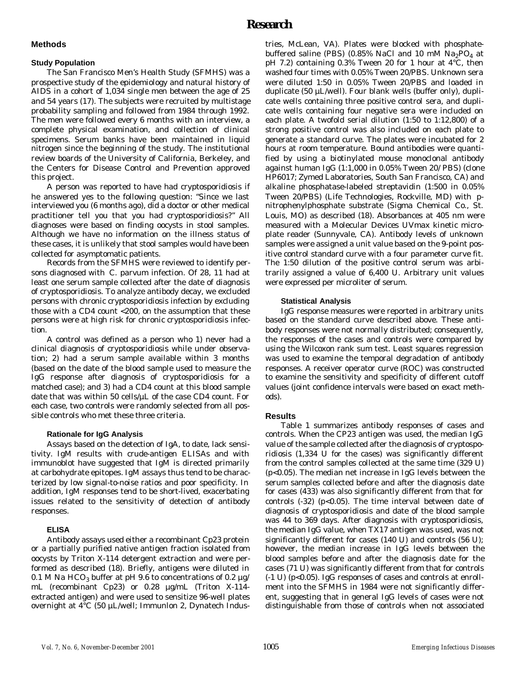# *Research*

#### **Methods**

#### **Study Population**

The San Francisco Men's Health Study (SFMHS) was a prospective study of the epidemiology and natural history of AIDS in a cohort of 1,034 single men between the age of 25 and 54 years (17). The subjects were recruited by multistage probability sampling and followed from 1984 through 1992. The men were followed every 6 months with an interview, a complete physical examination, and collection of clinical specimens. Serum banks have been maintained in liquid nitrogen since the beginning of the study. The institutional review boards of the University of California, Berkeley, and the Centers for Disease Control and Prevention approved this project.

A person was reported to have had cryptosporidiosis if he answered yes to the following question: "Since we last interviewed you (6 months ago), did a doctor or other medical practitioner tell you that you had cryptosporidiosis?" All diagnoses were based on finding oocysts in stool samples. Although we have no information on the illness status of these cases, it is unlikely that stool samples would have been collected for asymptomatic patients.

Records from the SFMHS were reviewed to identify persons diagnosed with *C. parvum* infection. Of 28, 11 had at least one serum sample collected after the date of diagnosis of cryptosporidiosis. To analyze antibody decay, we excluded persons with chronic cryptosporidiosis infection by excluding those with a CD4 count <200, on the assumption that these persons were at high risk for chronic cryptosporidiosis infection.

A control was defined as a person who 1) never had a clinical diagnosis of cryptosporidiosis while under observation; 2) had a serum sample available within 3 months (based on the date of the blood sample used to measure the IgG response after diagnosis of cryptosporidiosis for a matched case); and 3) had a CD4 count at this blood sample date that was within 50 cells/µL of the case CD4 count. For each case, two controls were randomly selected from all possible controls who met these three criteria.

#### **Rationale for IgG Analysis**

Assays based on the detection of IgA, to date, lack sensitivity. IgM results with crude-antigen ELISAs and with immunoblot have suggested that IgM is directed primarily at carbohydrate epitopes. IgM assays thus tend to be characterized by low signal-to-noise ratios and poor specificity. In addition, IgM responses tend to be short-lived, exacerbating issues related to the sensitivity of detection of antibody responses.

### **ELISA**

Antibody assays used either a recombinant Cp23 protein or a partially purified native antigen fraction isolated from oocysts by Triton X-114 detergent extraction and were performed as described (18). Briefly, antigens were diluted in 0.1 M Na HCO $_3$  buffer at pH 9.6 to concentrations of 0.2  $\mu$ g/ mL (recombinant Cp23) or 0.28 µg/mL (Triton X-114 extracted antigen) and were used to sensitize 96-well plates overnight at 4°C (50 µL/well; Immunlon 2, Dynatech Indus-

tries, McLean, VA). Plates were blocked with phosphatebuffered saline (PBS) (0.85% NaCl and 10 mM  $\rm Na_2PO_4$  at pH 7.2) containing 0.3% Tween 20 for 1 hour at 4°C, then washed four times with 0.05% Tween 20/PBS. Unknown sera were diluted 1:50 in 0.05% Tween 20/PBS and loaded in duplicate (50 µL/well). Four blank wells (buffer only), duplicate wells containing three positive control sera, and duplicate wells containing four negative sera were included on each plate. A twofold serial dilution (1:50 to 1:12,800) of a strong positive control was also included on each plate to generate a standard curve. The plates were incubated for 2 hours at room temperature. Bound antibodies were quantified by using a biotinylated mouse monoclonal antibody against human IgG (1:1,000 in 0.05% Tween 20/ PBS) (clone HP6017; Zymed Laboratories, South San Francisco, CA) and alkaline phosphatase-labeled streptavidin (1:500 in 0.05% Tween 20/PBS) (Life Technologies, Rockville, MD) with *p*nitrophenylphosphate substrate (Sigma Chemical Co., St. Louis, MO) as described (18). Absorbances at 405 nm were measured with a Molecular Devices UVmax kinetic microplate reader (Sunnyvale, CA). Antibody levels of unknown samples were assigned a unit value based on the 9-point positive control standard curve with a four parameter curve fit. The 1:50 dilution of the positive control serum was arbitrarily assigned a value of 6,400 U. Arbitrary unit values were expressed per microliter of serum.

#### **Statistical Analysis**

IgG response measures were reported in arbitrary units based on the standard curve described above. These antibody responses were not normally distributed; consequently, the responses of the cases and controls were compared by using the Wilcoxon rank sum test. Least squares regression was used to examine the temporal degradation of antibody responses. A receiver operator curve (ROC) was constructed to examine the sensitivity and specificity of different cutoff values (joint confidence intervals were based on exact methods).

### **Results**

Table 1 summarizes antibody responses of cases and controls. When the CP23 antigen was used, the median IgG value of the sample collected after the diagnosis of cryptosporidiosis (1,334 U for the cases) was significantly different from the control samples collected at the same time (329 U) (p<0.05). The median net increase in IgG levels between the serum samples collected before and after the diagnosis date for cases (433) was also significantly different from that for controls  $(-32)$  ( $p<0.05$ ). The time interval between date of diagnosis of cryptosporidiosis and date of the blood sample was 44 to 369 days. After diagnosis with cryptosporidiosis, the median IgG value, when TX17 antigen was used, was not significantly different for cases (140 U) and controls (56 U); however, the median increase in IgG levels between the blood samples before and after the diagnosis date for the cases (71 U) was significantly different from that for controls (-1 U) (p<0.05). IgG responses of cases and controls at enrollment into the SFMHS in 1984 were not significantly different, suggesting that in general IgG levels of cases were not distinguishable from those of controls when not associated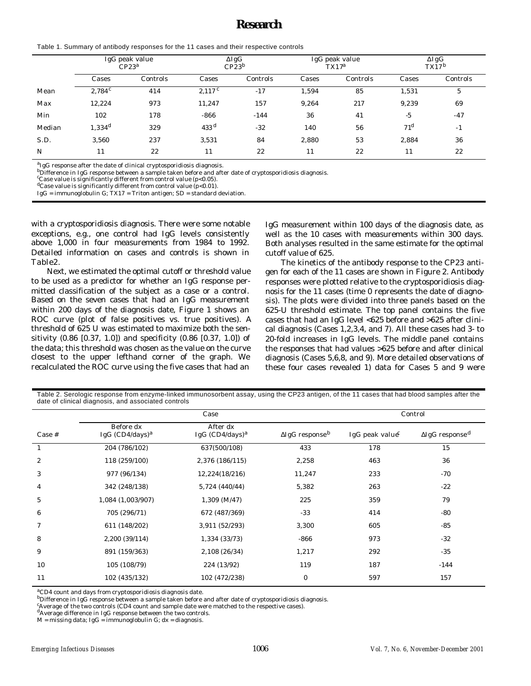# *Research*

|  |  | Table 1. Summary of antibody responses for the 11 cases and their respective controls |
|--|--|---------------------------------------------------------------------------------------|
|--|--|---------------------------------------------------------------------------------------|

|        | IgG peak value<br>CP23 <sup>a</sup> |          | $\Delta$ IgG<br>CP23 <sup>b</sup> |          | IgG peak value<br>$TX17^a$ |          | $\Delta$ IgG<br>$TX17^b$ |          |
|--------|-------------------------------------|----------|-----------------------------------|----------|----------------------------|----------|--------------------------|----------|
|        | Cases                               | Controls | Cases                             | Controls | Cases                      | Controls | Cases                    | Controls |
| Mean   | $2,784^c$                           | 414      | 2.117c                            | $-17$    | 1.594                      | 85       | 1,531                    | 5        |
| Max    | 12,224                              | 973      | 11,247                            | 157      | 9.264                      | 217      | 9,239                    | 69       |
| Min    | 102                                 | 178      | $-866$                            | $-144$   | 36                         | 41       | $-5$                     | $-47$    |
| Median | 1.334 <sup>d</sup>                  | 329      | 433 <sup>d</sup>                  | $-32$    | 140                        | 56       | $71^{\rm d}$             | $-1$     |
| S.D.   | 3.560                               | 237      | 3.531                             | 84       | 2,880                      | 53       | 2.884                    | 36       |
| N      | 11                                  | 22       | 11                                | 22       | 11                         | 22       | 11                       | 22       |

<sup>a</sup>IgG response after the date of clinical cryptosporidiosis diagnosis.

bDifference in IgG response between a sample taken before and after date of cryptosporidiosis diagnosis.<br><sup>c</sup>Case value is significantly different from control value (p<0.05).

dCase value is significantly different from control value (p<0.01).

 $I$ g $G$  = immunoglobulin  $G$ ;  $TX17$  = Triton antigen;  $SD$  = standard deviation.

with a cryptosporidiosis diagnosis. There were some notable exceptions, e.g., one control had IgG levels consistently above 1,000 in four measurements from 1984 to 1992. Detailed information on cases and controls is shown in Table2.

Next, we estimated the optimal cutoff or threshold value to be used as a predictor for whether an IgG response permitted classification of the subject as a case or a control. Based on the seven cases that had an IgG measurement within 200 days of the diagnosis date, Figure 1 shows an ROC curve (plot of false positives vs. true positives). A threshold of 625 U was estimated to maximize both the sensitivity (0.86 [0.37, 1.0]) and specificity (0.86 [0.37, 1.0]) of the data; this threshold was chosen as the value on the curve closest to the upper lefthand corner of the graph. We recalculated the ROC curve using the five cases that had an

IgG measurement within 100 days of the diagnosis date, as well as the 10 cases with measurements within 300 days. Both analyses resulted in the same estimate for the optimal cutoff value of 625.

The kinetics of the antibody response to the CP23 antigen for each of the 11 cases are shown in Figure 2. Antibody responses were plotted relative to the cryptosporidiosis diagnosis for the 11 cases (time 0 represents the date of diagnosis). The plots were divided into three panels based on the 625-U threshold estimate. The top panel contains the five cases that had an IgG level <625 before and >625 after clinical diagnosis (Cases 1,2,3,4, and 7). All these cases had 3- to 20-fold increases in IgG levels. The middle panel contains the responses that had values >625 before and after clinical diagnosis (Cases 5,6,8, and 9). More detailed observations of these four cases revealed 1) data for Cases 5 and 9 were

| Table 2. Serologic response from enzyme-linked immunosorbent assay, using the CP23 antigen, of the 11 cases that had blood samples after the |  |
|----------------------------------------------------------------------------------------------------------------------------------------------|--|
| date of clinical diagnosis, and associated controls                                                                                          |  |

|          | Case                                      |                                |                                    | Control                   |                                    |  |
|----------|-------------------------------------------|--------------------------------|------------------------------------|---------------------------|------------------------------------|--|
| $Case #$ | Before dx<br>IgG $(CD4/day)$ <sup>a</sup> | After dx<br>IgG $(CD4/days)^a$ | $\Delta$ IgG response <sup>b</sup> | IgG peak value $\epsilon$ | $\Delta$ IgG response <sup>d</sup> |  |
|          | 204 (786/102)                             | 637(500/108)                   | 433                                | 178                       | 15                                 |  |
| 2        | 118 (259/100)                             | 2,376 (186/115)                | 2,258                              | 463                       | 36                                 |  |
| 3        | 977 (96/134)                              | 12,224(18/216)                 | 11,247                             | 233                       | $-70$                              |  |
| 4        | 342 (248/138)                             | 5,724 (440/44)                 | 5,382                              | 263                       | $-22$                              |  |
| 5        | 1,084 (1,003/907)                         | $1,309$ (M/47)                 | 225                                | 359                       | 79                                 |  |
| 6        | 705 (296/71)                              | 672 (487/369)                  | $-33$                              | 414                       | $-80$                              |  |
| 7        | 611 (148/202)                             | 3,911 (52/293)                 | 3,300                              | 605                       | $-85$                              |  |
| 8        | 2,200 (39/114)                            | 1,334 (33/73)                  | $-866$                             | 973                       | $-32$                              |  |
| 9        | 891 (159/363)                             | 2,108 (26/34)                  | 1,217                              | 292                       | $-35$                              |  |
| 10       | 105 (108/79)                              | 224 (13/92)                    | 119                                | 187                       | $-144$                             |  |
| 11       | 102 (435/132)                             | 102 (472/238)                  | $\overline{O}$                     | 597                       | 157                                |  |

<sup>a</sup>CD4 count and days from cryptosporidiosis diagnosis date.

 $^{\text{b}}$ Difference in IgG response between a sample taken before and after date of cryptosporidiosis diagnosis.

<sup>c</sup>Average of the two controls (CD4 count and sample date were matched to the respective cases).

dAverage difference in IgG response between the two controls.

 $M = \text{missing data};$   $\lg G = \text{immunoglobin G};$   $dx = \text{diagnosis}.$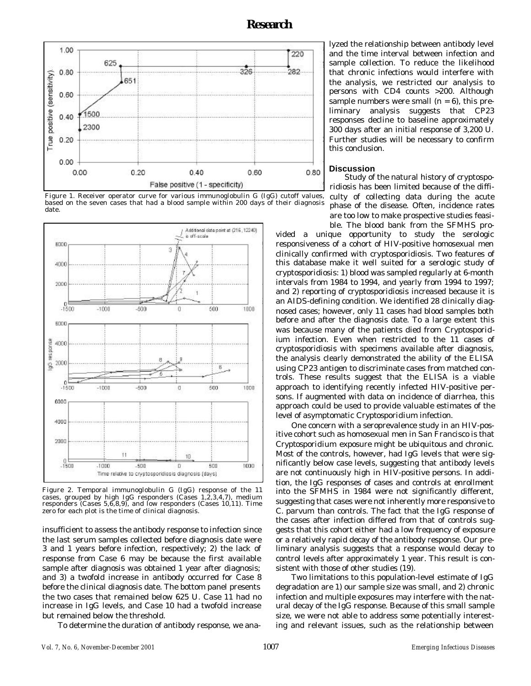





Figure 2. Temporal immunoglobulin G (IgG) response of the 11 cases, grouped by high IgG responders (Cases 1,2,3,4,7), medium responders (Cases 5,6,8,9), and low responders (Cases 10,11). Time zero for each plot is the time of clinical diagnosis.

insufficient to assess the antibody response to infection since the last serum samples collected before diagnosis date were 3 and 1 years before infection, respectively; 2) the lack of response from Case 6 may be because the first available sample after diagnosis was obtained 1 year after diagnosis; and 3) a twofold increase in antibody occurred for Case 8 before the clinical diagnosis date. The bottom panel presents the two cases that remained below 625 U. Case 11 had no increase in IgG levels, and Case 10 had a twofold increase but remained below the threshold.

To determine the duration of antibody response, we ana-

lyzed the relationship between antibody level and the time interval between infection and sample collection. To reduce the likelihood that chronic infections would interfere with the analysis, we restricted our analysis to persons with CD4 counts >200. Although sample numbers were small  $(n = 6)$ , this preliminary analysis suggests that CP23 responses decline to baseline approximately 300 days after an initial response of 3,200 U. Further studies will be necessary to confirm this conclusion.

#### **Discussion**

Study of the natural history of cryptosporidiosis has been limited because of the difficulty of collecting data during the acute phase of the disease. Often, incidence rates are too low to make prospective studies feasible. The blood bank from the SFMHS pro-

vided a unique opportunity to study the serologic responsiveness of a cohort of HIV-positive homosexual men clinically confirmed with cryptosporidiosis. Two features of this database make it well suited for a serologic study of cryptosporidiosis: 1) blood was sampled regularly at 6-month intervals from 1984 to 1994, and yearly from 1994 to 1997; and 2) reporting of cryptosporidiosis increased because it is an AIDS-defining condition. We identified 28 clinically diagnosed cases; however, only 11 cases had blood samples both before and after the diagnosis date. To a large extent this was because many of the patients died from *Cryptosporidium* infection. Even when restricted to the 11 cases of cryptosporidiosis with specimens available after diagnosis, the analysis clearly demonstrated the ability of the ELISA using CP23 antigen to discriminate cases from matched controls. These results suggest that the ELISA is a viable approach to identifying recently infected HIV-positive persons. If augmented with data on incidence of diarrhea, this approach could be used to provide valuable estimates of the level of asymptomatic *Cryptosporidium* infection.

One concern with a seroprevalence study in an HIV-positive cohort such as homosexual men in San Francisco is that *Cryptosporidium* exposure might be ubiquitous and chronic. Most of the controls, however, had IgG levels that were significantly below case levels, suggesting that antibody levels are not continuously high in HIV-positive persons. In addition, the IgG responses of cases and controls at enrollment into the SFMHS in 1984 were not significantly different, suggesting that cases were not inherently more responsive to *C. parvum* than controls. The fact that the IgG response of the cases after infection differed from that of controls suggests that this cohort either had a low frequency of exposure or a relatively rapid decay of the antibody response. Our preliminary analysis suggests that a response would decay to control levels after approximately 1 year. This result is consistent with those of other studies (19).

Two limitations to this population-level estimate of IgG degradation are 1) our sample size was small, and 2) chronic infection and multiple exposures may interfere with the natural decay of the IgG response. Because of this small sample size, we were not able to address some potentially interesting and relevant issues, such as the relationship between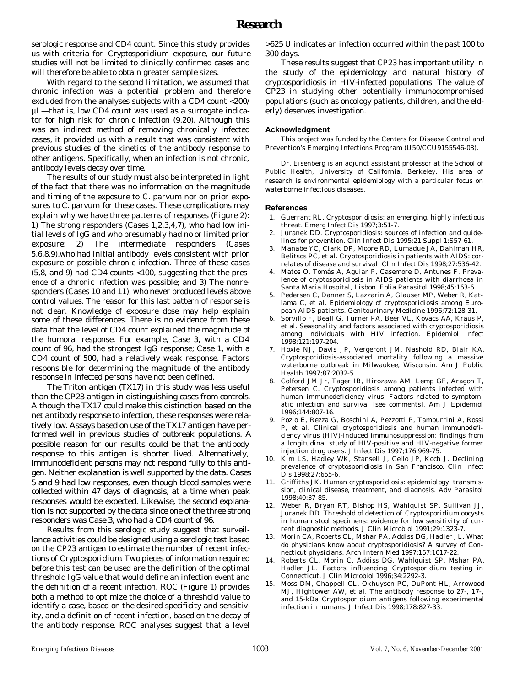serologic response and CD4 count. Since this study provides us with criteria for *Cryptosporidium* exposure, our future studies will not be limited to clinically confirmed cases and will therefore be able to obtain greater sample sizes.

With regard to the second limitation, we assumed that chronic infection was a potential problem and therefore excluded from the analyses subjects with a CD4 count <200/ µL—that is, low CD4 count was used as a surrogate indicator for high risk for chronic infection (9,20). Although this was an indirect method of removing chronically infected cases, it provided us with a result that was consistent with previous studies of the kinetics of the antibody response to other antigens. Specifically, when an infection is not chronic, antibody levels decay over time.

The results of our study must also be interpreted in light of the fact that there was no information on the magnitude and timing of the exposure to *C. parvum* nor on prior exposures to *C. parvum* for these cases. These complications may explain why we have three patterns of responses (Figure 2): 1) The strong responders (Cases 1,2,3,4,7), who had low initial levels of IgG and who presumably had no or limited prior exposure; 2) The intermediate responders (Cases 5,6,8,9),who had initial antibody levels consistent with prior exposure or possible chronic infection. Three of these cases (5,8, and 9) had CD4 counts <100, suggesting that the presence of a chronic infection was possible; and 3) The nonresponders (Cases 10 and 11), who never produced levels above control values. The reason for this last pattern of response is not clear. Knowledge of exposure dose may help explain some of these differences. There is no evidence from these data that the level of CD4 count explained the magnitude of the humoral response. For example, Case 3, with a CD4 count of 96, had the strongest IgG response; Case 1, with a CD4 count of 500, had a relatively weak response. Factors responsible for determining the magnitude of the antibody response in infected persons have not been defined.

The Triton antigen (TX17) in this study was less useful than the CP23 antigen in distinguishing cases from controls. Although the TX17 could make this distinction based on the net antibody response to infection, these responses were relatively low. Assays based on use of the TX17 antigen have performed well in previous studies of outbreak populations. A possible reason for our results could be that the antibody response to this antigen is shorter lived. Alternatively, immunodeficient persons may not respond fully to this antigen. Neither explanation is well supported by the data. Cases 5 and 9 had low responses, even though blood samples were collected within 47 days of diagnosis, at a time when peak responses would be expected. Likewise, the second explanation is not supported by the data since one of the three strong responders was Case 3, who had a CD4 count of 96.

Results from this serologic study suggest that surveillance activities could be designed using a serologic test based on the CP23 antigen to estimate the number of recent infections of *Cryptosporidium*. Two pieces of information required before this test can be used are the definition of the optimal threshold IgG value that would define an infection event and the definition of a recent infection. ROC (Figure 1) provides both a method to optimize the choice of a threshold value to identify a case, based on the desired specificity and sensitivity, and a definition of recent infection, based on the decay of the antibody response. ROC analyses suggest that a level

>625 U indicates an infection occurred within the past 100 to 300 days.

These results suggest that CP23 has important utility in the study of the epidemiology and natural history of cryptosporidiosis in HIV-infected populations. The value of CP23 in studying other potentially immunocompromised populations (such as oncology patients, children, and the elderly) deserves investigation.

#### **Acknowledgment**

This project was funded by the Centers for Disease Control and Prevention's Emerging Infections Program (U50/CCU9155546-03).

Dr. Eisenberg is an adjunct assistant professor at the School of Public Health, University of California, Berkeley. His area of research is environmental epidemiology with a particular focus on waterborne infectious diseases.

#### **References**

- 1. Guerrant RL. Cryptosporidiosis: an emerging, highly infectious threat. Emerg Infect Dis 1997;3:51-7.
- Juranek DD. Cryptosporidiosis: sources of infection and guidelines for prevention. Clin Infect Dis 1995;21 Suppl 1:S57-61.
- 3. Manabe YC, Clark DP, Moore RD, Lumadue JA, Dahlman HR, Belitsos PC, et al. Cryptosporidiosis in patients with AIDS: correlates of disease and survival. Clin Infect Dis 1998;27:536-42.
- 4. Matos O, Tomás A, Aguiar P, Casemore D, Antunes F. Prevalence of cryptosporidiosis in AIDS patients with diarrhoea in Santa Maria Hospital, Lisbon. Folia Parasitol 1998;45:163-6.
- 5. Pedersen C, Danner S, Lazzarin A, Glauser MP, Weber R, Katlama C, et al. Epidemiology of cryptosporidiosis among European AIDS patients. Genitourinary Medicine 1996;72:128-31.
- 6. Sorvillo F, Beall G, Turner PA, Beer VL, Kovacs AA, Kraus P, et al. Seasonality and factors associated with cryptosporidiosis among individuals with HIV infection. Epidemiol Infect 1998;121:197-204.
- 7. Hoxie NJ, Davis JP, Vergeront JM, Nashold RD, Blair KA. Cryptosporidiosis-associated mortality following a massive waterborne outbreak in Milwaukee, Wisconsin. Am J Public Health 1997;87:2032-5.
- Colford JM Jr, Tager IB, Hirozawa AM, Lemp GF, Aragon T, Petersen C. Cryptosporidiosis among patients infected with human immunodeficiency virus. Factors related to symptomatic infection and survival [see comments]. Am J Epidemiol 1996;144:807-16.
- 9. Pozio E, Rezza G, Boschini A, Pezzotti P, Tamburrini A, Rossi P, et al. Clinical cryptosporidiosis and human immunodeficiency virus (HIV)-induced immunosuppression: findings from a longitudinal study of HIV-positive and HIV-negative former injection drug users. J Infect Dis 1997;176:969-75.
- 10. Kim LS, Hadley WK, Stansell J, Cello JP, Koch J. Declining prevalence of cryptosporidiosis in San Francisco. Clin Infect Dis 1998;27:655-6.
- 11. Griffiths JK. Human cryptosporidiosis: epidemiology, transmission, clinical disease, treatment, and diagnosis. Adv Parasitol 1998;40:37-85.
- 12. Weber R, Bryan RT, Bishop HS, Wahlquist SP, Sullivan JJ, Juranek DD. Threshold of detection of *Cryptosporidium* oocysts in human stool specimens: evidence for low sensitivity of current diagnostic methods. J Clin Microbiol 1991;29:1323-7.
- 13. Morin CA, Roberts CL, Mshar PA, Addiss DG, Hadler JL. What do physicians know about cryptosporidiosis? A survey of Connecticut physicians. Arch Intern Med 1997;157:1017-22.
- 14. Roberts CL, Morin C, Addiss DG, Wahlquist SP, Mshar PA, Hadler JL. Factors influencing *Cryptosporidium* testing in Connecticut. J Clin Microbiol 1996;34:2292-3.
- 15. Moss DM, Chappell CL, Okhuysen PC, DuPont HL, Arrowood MJ, Hightower AW, et al. The antibody response to 27-, 17-, and 15-kDa *Cryptosporidium* antigens following experimental infection in humans. J Infect Dis 1998;178:827-33.